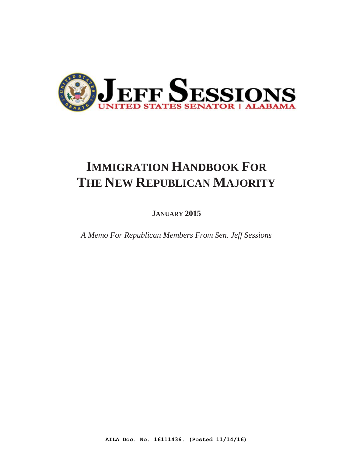

# **IMMIGRATION HANDBOOK FOR THE NEW REPUBLICAN MAJORITY**

**JANUARY 2015** 

*A Memo For Republican Members From Sen. Jeff Sessions*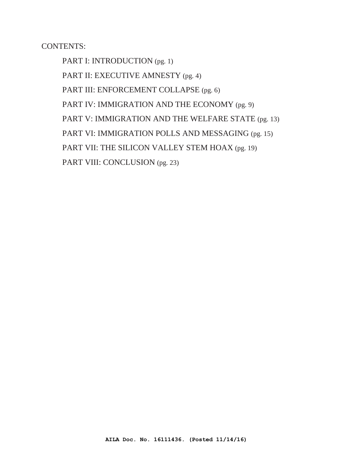CONTENTS:

PART I: INTRODUCTION (pg. 1) PART II: EXECUTIVE AMNESTY (pg. 4) PART III: ENFORCEMENT COLLAPSE (pg. 6) PART IV: IMMIGRATION AND THE ECONOMY (pg. 9) PART V: IMMIGRATION AND THE WELFARE STATE (pg. 13) PART VI: IMMIGRATION POLLS AND MESSAGING (pg. 15) PART VII: THE SILICON VALLEY STEM HOAX (pg. 19) PART VIII: CONCLUSION (pg. 23)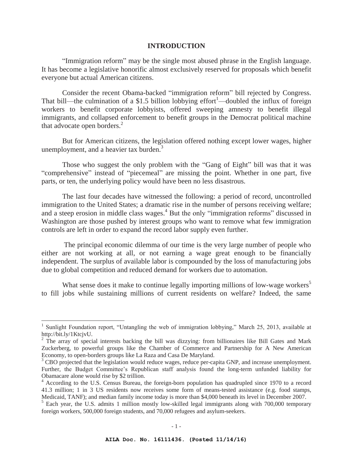## **INTRODUCTION**

"Immigration reform" may be the single most abused phrase in the English language. It has become a legislative honorific almost exclusively reserved for proposals which benefit everyone but actual American citizens.

 Consider the recent Obama-backed "immigration reform" bill rejected by Congress. That bill—the culmination of a \$1.5 billion lobbying effort<sup>1</sup>—doubled the influx of foreign workers to benefit corporate lobbyists, offered sweeping amnesty to benefit illegal immigrants, and collapsed enforcement to benefit groups in the Democrat political machine that advocate open borders. $^{2}$ 

 But for American citizens, the legislation offered nothing except lower wages, higher unemployment, and a heavier tax burden.<sup>3</sup>

 Those who suggest the only problem with the "Gang of Eight" bill was that it was "comprehensive" instead of "piecemeal" are missing the point. Whether in one part, five parts, or ten, the underlying policy would have been no less disastrous.

 The last four decades have witnessed the following: a period of record, uncontrolled immigration to the United States; a dramatic rise in the number of persons receiving welfare; and a steep erosion in middle class wages.<sup>4</sup> But the only "immigration reforms" discussed in Washington are those pushed by interest groups who want to remove what few immigration controls are left in order to expand the record labor supply even further.

 The principal economic dilemma of our time is the very large number of people who either are not working at all, or not earning a wage great enough to be financially independent. The surplus of available labor is compounded by the loss of manufacturing jobs due to global competition and reduced demand for workers due to automation.

What sense does it make to continue legally importing millions of low-wage workers<sup>5</sup> to fill jobs while sustaining millions of current residents on welfare? Indeed, the same

<sup>&</sup>lt;sup>1</sup> Sunlight Foundation report, "Untangling the web of immigration lobbying," March 25, 2013, available at http://bit.ly/1KtcjvU.

 $2$  The array of special interests backing the bill was dizzying: from billionaires like Bill Gates and Mark Zuckerberg, to powerful groups like the Chamber of Commerce and Partnership for A New American Economy, to open-borders groups like La Raza and Casa De Maryland.

<sup>&</sup>lt;sup>3</sup> CBO projected that the legislation would reduce wages, reduce per-capita GNP, and increase unemployment. Further, the Budget Committee's Republican staff analysis found the long-term unfunded liability for Obamacare alone would rise by \$2 trillion.

<sup>&</sup>lt;sup>4</sup> According to the U.S. Census Bureau, the foreign-born population has quadrupled since 1970 to a record 41.3 million; 1 in 3 US residents now receives some form of means-tested assistance (e.g. food stamps, Medicaid, TANF); and median family income today is more than \$4,000 beneath its level in December 2007.

<sup>&</sup>lt;sup>5</sup> Each year, the U.S. admits 1 million mostly low-skilled legal immigrants along with 700,000 temporary foreign workers, 500,000 foreign students, and 70,000 refugees and asylum-seekers.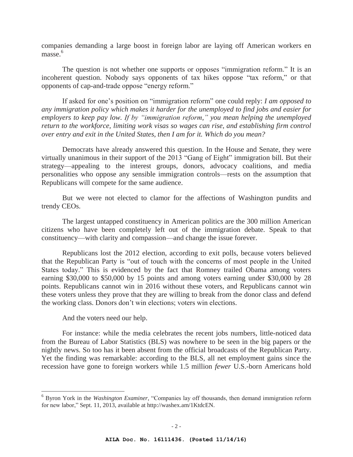companies demanding a large boost in foreign labor are laying off American workers en masse.<sup>6</sup>

The question is not whether one supports or opposes "immigration reform." It is an incoherent question. Nobody says opponents of tax hikes oppose "tax reform," or that opponents of cap-and-trade oppose "energy reform."

If asked for one's position on "immigration reform" one could reply: *I am opposed to any immigration policy which makes it harder for the unemployed to find jobs and easier for employers to keep pay low. If by "immigration reform," you mean helping the unemployed return to the workforce, limiting work visas so wages can rise, and establishing firm control over entry and exit in the United States, then I am for it. Which do you mean?*

Democrats have already answered this question. In the House and Senate, they were virtually unanimous in their support of the 2013 "Gang of Eight" immigration bill. But their strategy—appealing to the interest groups, donors, advocacy coalitions, and media personalities who oppose any sensible immigration controls—rests on the assumption that Republicans will compete for the same audience.

But we were not elected to clamor for the affections of Washington pundits and trendy CEOs.

The largest untapped constituency in American politics are the 300 million American citizens who have been completely left out of the immigration debate. Speak to that constituency—with clarity and compassion—and change the issue forever.

Republicans lost the 2012 election, according to exit polls, because voters believed that the Republican Party is "out of touch with the concerns of most people in the United States today." This is evidenced by the fact that Romney trailed Obama among voters earning \$30,000 to \$50,000 by 15 points and among voters earning under \$30,000 by 28 points. Republicans cannot win in 2016 without these voters, and Republicans cannot win these voters unless they prove that they are willing to break from the donor class and defend the working class. Donors don't win elections; voters win elections.

And the voters need our help.

 $\overline{a}$ 

For instance: while the media celebrates the recent jobs numbers, little-noticed data from the Bureau of Labor Statistics (BLS) was nowhere to be seen in the big papers or the nightly news. So too has it been absent from the official broadcasts of the Republican Party. Yet the finding was remarkable: according to the BLS, all net employment gains since the recession have gone to foreign workers while 1.5 million *fewer* U.S.-born Americans hold

<sup>6</sup> Byron York in the *Washington Examiner*, "Companies lay off thousands, then demand immigration reform for new labor," Sept. 11, 2013, available at http://washex.am/1KtdcEN.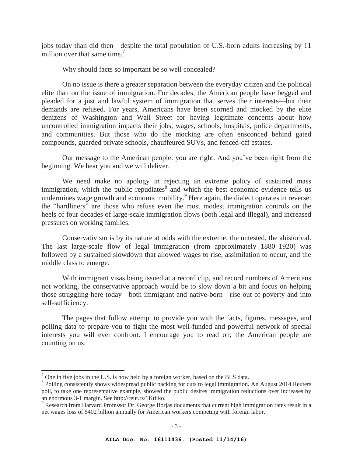jobs today than did then—despite the total population of U.S.-born adults increasing by 11 million over that same time.<sup>7</sup>

Why should facts so important be so well concealed?

On no issue is there a greater separation between the everyday citizen and the political elite than on the issue of immigration. For decades, the American people have begged and pleaded for a just and lawful system of immigration that serves their interests—but their demands are refused. For years, Americans have been scorned and mocked by the elite denizens of Washington and Wall Street for having legitimate concerns about how uncontrolled immigration impacts their jobs, wages, schools, hospitals, police departments, and communities. But those who do the mocking are often ensconced behind gated compounds, guarded private schools, chauffeured SUVs, and fenced-off estates.

Our message to the American people: you are right. And you've been right from the beginning. We hear you and we will deliver.

We need make no apology in rejecting an extreme policy of sustained mass immigration, which the public repudiates $\delta$  and which the best economic evidence tells us undermines wage growth and economic mobility.<sup>9</sup> Here again, the dialect operates in reverse: the "hardliners" are those who refuse even the most modest immigration controls on the heels of four decades of large-scale immigration flows (both legal and illegal), and increased pressures on working families.

Conservativism is by its nature at odds with the extreme, the untested, the ahistorical. The last large-scale flow of legal immigration (from approximately 1880–1920) was followed by a sustained slowdown that allowed wages to rise, assimilation to occur, and the middle class to emerge.

With immigrant visas being issued at a record clip, and record numbers of Americans not working, the conservative approach would be to slow down a bit and focus on helping those struggling here today—both immigrant and native-born—rise out of poverty and into self-sufficiency.

The pages that follow attempt to provide you with the facts, figures, messages, and polling data to prepare you to fight the most well-funded and powerful network of special interests you will ever confront. I encourage you to read on; the American people are counting on us.

 $<sup>7</sup>$  One in five jobs in the U.S. is now held by a foreign worker, based on the BLS data.</sup>

<sup>&</sup>lt;sup>8</sup> Polling consistently shows widespread public backing for cuts to legal immigration. An August 2014 Reuters poll, to take one representative example, showed the public desires immigration reductions over increases by an enormous 3-1 margin. See http://reut.rs/1Ktiiko.

<sup>&</sup>lt;sup>9</sup> Research from Harvard Professor Dr. George Borjas documents that current high immigration rates result in a net wages loss of \$402 billion annually for American workers competing with foreign labor.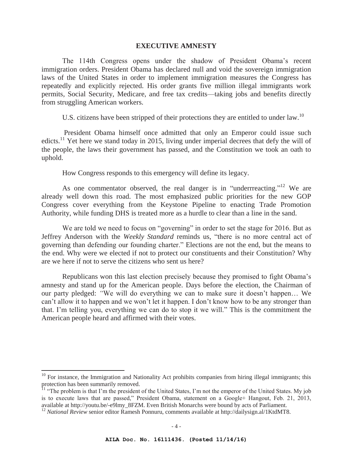### **EXECUTIVE AMNESTY**

The 114th Congress opens under the shadow of President Obama's recent immigration orders. President Obama has declared null and void the sovereign immigration laws of the United States in order to implement immigration measures the Congress has repeatedly and explicitly rejected. His order grants five million illegal immigrants work permits, Social Security, Medicare, and free tax credits—taking jobs and benefits directly from struggling American workers.

U.S. citizens have been stripped of their protections they are entitled to under law.<sup>10</sup>

 President Obama himself once admitted that only an Emperor could issue such edicts.<sup>11</sup> Yet here we stand today in 2015, living under imperial decrees that defy the will of the people, the laws their government has passed, and the Constitution we took an oath to uphold.

How Congress responds to this emergency will define its legacy.

As one commentator observed, the real danger is in "underrreacting."<sup>12</sup> We are already well down this road. The most emphasized public priorities for the new GOP Congress cover everything from the Keystone Pipeline to enacting Trade Promotion Authority, while funding DHS is treated more as a hurdle to clear than a line in the sand.

We are told we need to focus on "governing" in order to set the stage for 2016. But as Jeffrey Anderson with the *Weekly Standard* reminds us, "there is no more central act of governing than defending our founding charter." Elections are not the end, but the means to the end. Why were we elected if not to protect our constituents and their Constitution? Why are we here if not to serve the citizens who sent us here?

Republicans won this last election precisely because they promised to fight Obama's amnesty and stand up for the American people. Days before the election, the Chairman of our party pledged: *"*We will do everything we can to make sure it doesn't happen… We can't allow it to happen and we won't let it happen. I don't know how to be any stronger than that. I'm telling you, everything we can do to stop it we will." This is the commitment the American people heard and affirmed with their votes.

 $10$  For instance, the Immigration and Nationality Act prohibits companies from hiring illegal immigrants; this protection has been summarily removed.

<sup>&</sup>lt;sup>11</sup> "The problem is that I'm the president of the United States, I'm not the emperor of the United States. My job is to execute laws that are passed," President Obama, statement on a Google+ Hangout, Feb. 21, 2013, available at http://youtu.be/-e9lmy\_8FZM. Even British Monarchs were bound by acts of Parliament.

<sup>12</sup> *National Review* senior editor Ramesh Ponnuru, comments available at http://dailysign.al/1KtdMT8.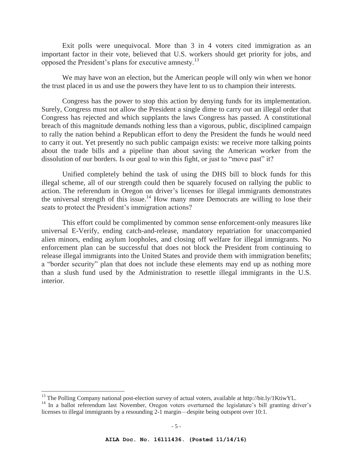Exit polls were unequivocal. More than 3 in 4 voters cited immigration as an important factor in their vote, believed that U.S. workers should get priority for jobs, and opposed the President's plans for executive amnesty.<sup>13</sup>

We may have won an election, but the American people will only win when we honor the trust placed in us and use the powers they have lent to us to champion their interests.

Congress has the power to stop this action by denying funds for its implementation. Surely, Congress must not allow the President a single dime to carry out an illegal order that Congress has rejected and which supplants the laws Congress has passed. A constitutional breach of this magnitude demands nothing less than a vigorous, public, disciplined campaign to rally the nation behind a Republican effort to deny the President the funds he would need to carry it out. Yet presently no such public campaign exists: we receive more talking points about the trade bills and a pipeline than about saving the American worker from the dissolution of our borders. Is our goal to win this fight, or just to "move past" it?

Unified completely behind the task of using the DHS bill to block funds for this illegal scheme, all of our strength could then be squarely focused on rallying the public to action. The referendum in Oregon on driver's licenses for illegal immigrants demonstrates the universal strength of this issue.<sup>14</sup> How many more Democrats are willing to lose their seats to protect the President's immigration actions?

This effort could be complimented by common sense enforcement-only measures like universal E-Verify, ending catch-and-release, mandatory repatriation for unaccompanied alien minors, ending asylum loopholes, and closing off welfare for illegal immigrants. No enforcement plan can be successful that does not block the President from continuing to release illegal immigrants into the United States and provide them with immigration benefits; a "border security" plan that does not include these elements may end up as nothing more than a slush fund used by the Administration to resettle illegal immigrants in the U.S. interior.

<sup>&</sup>lt;sup>13</sup> The Polling Company national post-election survey of actual voters, available at http://bit.ly/1KtiwYL.

<sup>&</sup>lt;sup>14</sup> In a ballot referendum last November, Oregon voters overturned the legislature's bill granting driver's licenses to illegal immigrants by a resounding 2-1 margin—despite being outspent over 10:1.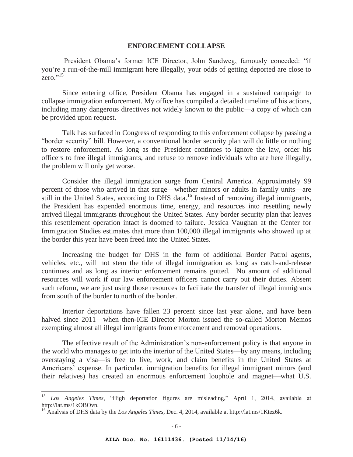### **ENFORCEMENT COLLAPSE**

President Obama's former ICE Director, John Sandweg, famously conceded: "if you're a run-of-the-mill immigrant here illegally, your odds of getting deported are close to zero."<sup>15</sup>

Since entering office, President Obama has engaged in a sustained campaign to collapse immigration enforcement. My office has compiled a detailed timeline of his actions, including many dangerous directives not widely known to the public—a copy of which can be provided upon request.

Talk has surfaced in Congress of responding to this enforcement collapse by passing a "border security" bill. However, a conventional border security plan will do little or nothing to restore enforcement. As long as the President continues to ignore the law, order his officers to free illegal immigrants, and refuse to remove individuals who are here illegally, the problem will only get worse.

 Consider the illegal immigration surge from Central America. Approximately 99 percent of those who arrived in that surge—whether minors or adults in family units—are still in the United States, according to DHS data.<sup>16</sup> Instead of removing illegal immigrants, the President has expended enormous time, energy, and resources into resettling newly arrived illegal immigrants throughout the United States. Any border security plan that leaves this resettlement operation intact is doomed to failure. Jessica Vaughan at the Center for Immigration Studies estimates that more than 100,000 illegal immigrants who showed up at the border this year have been freed into the United States.

 Increasing the budget for DHS in the form of additional Border Patrol agents, vehicles, etc., will not stem the tide of illegal immigration as long as catch-and-release continues and as long as interior enforcement remains gutted. No amount of additional resources will work if our law enforcement officers cannot carry out their duties. Absent such reform, we are just using those resources to facilitate the transfer of illegal immigrants from south of the border to north of the border.

Interior deportations have fallen 23 percent since last year alone, and have been halved since 2011—when then-ICE Director Morton issued the so-called Morton Memos exempting almost all illegal immigrants from enforcement and removal operations.

The effective result of the Administration's non-enforcement policy is that anyone in the world who manages to get into the interior of the United States—by any means, including overstaying a visa—is free to live, work, and claim benefits in the United States at Americans' expense. In particular, immigration benefits for illegal immigrant minors (and their relatives) has created an enormous enforcement loophole and magnet—what U.S.

<sup>15</sup> *Los Angeles Times*, "High deportation figures are misleading," April 1, 2014, available at http://lat.ms/1kOBOvn.

<sup>16</sup> Analysis of DHS data by the *Los Angeles Times,* Dec. 4, 2014, available at http://lat.ms/1Ktez6k.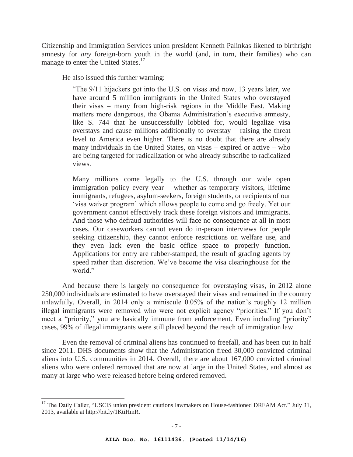Citizenship and Immigration Services union president Kenneth Palinkas likened to birthright amnesty for *any* foreign-born youth in the world (and, in turn, their families) who can manage to enter the United States.<sup>17</sup>

He also issued this further warning:

 $\overline{a}$ 

"The 9/11 hijackers got into the U.S. on visas and now, 13 years later, we have around 5 million immigrants in the United States who overstayed their visas – many from high-risk regions in the Middle East. Making matters more dangerous, the Obama Administration's executive amnesty, like S. 744 that he unsuccessfully lobbied for, would legalize visa overstays and cause millions additionally to overstay – raising the threat level to America even higher. There is no doubt that there are already many individuals in the United States, on visas – expired or active – who are being targeted for radicalization or who already subscribe to radicalized views.

Many millions come legally to the U.S. through our wide open immigration policy every year – whether as temporary visitors, lifetime immigrants, refugees, asylum-seekers, foreign students, or recipients of our 'visa waiver program' which allows people to come and go freely. Yet our government cannot effectively track these foreign visitors and immigrants. And those who defraud authorities will face no consequence at all in most cases. Our caseworkers cannot even do in-person interviews for people seeking citizenship, they cannot enforce restrictions on welfare use, and they even lack even the basic office space to properly function. Applications for entry are rubber-stamped, the result of grading agents by speed rather than discretion. We've become the visa clearinghouse for the world."

And because there is largely no consequence for overstaying visas, in 2012 alone 250,000 individuals are estimated to have overstayed their visas and remained in the country unlawfully. Overall, in 2014 only a miniscule 0.05% of the nation's roughly 12 million illegal immigrants were removed who were not explicit agency "priorities." If you don't meet a "priority," you are basically immune from enforcement. Even including "priority" cases, 99% of illegal immigrants were still placed beyond the reach of immigration law.

Even the removal of criminal aliens has continued to freefall, and has been cut in half since 2011. DHS documents show that the Administration freed 30,000 convicted criminal aliens into U.S. communities in 2014. Overall, there are about 167,000 convicted criminal aliens who were ordered removed that are now at large in the United States, and almost as many at large who were released before being ordered removed.

<sup>&</sup>lt;sup>17</sup> The Daily Caller, "USCIS union president cautions lawmakers on House-fashioned DREAM Act," July 31, 2013, available at http://bit.ly/1KtiHmR.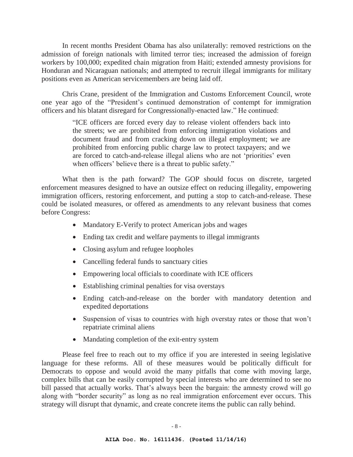In recent months President Obama has also unilaterally: removed restrictions on the admission of foreign nationals with limited terror ties; increased the admission of foreign workers by 100,000; expedited chain migration from Haiti; extended amnesty provisions for Honduran and Nicaraguan nationals; and attempted to recruit illegal immigrants for military positions even as American servicemembers are being laid off.

Chris Crane, president of the Immigration and Customs Enforcement Council, wrote one year ago of the "President's continued demonstration of contempt for immigration officers and his blatant disregard for Congressionally-enacted law." He continued:

> "ICE officers are forced every day to release violent offenders back into the streets; we are prohibited from enforcing immigration violations and document fraud and from cracking down on illegal employment; we are prohibited from enforcing public charge law to protect taxpayers; and we are forced to catch-and-release illegal aliens who are not 'priorities' even when officers' believe there is a threat to public safety."

What then is the path forward? The GOP should focus on discrete, targeted enforcement measures designed to have an outsize effect on reducing illegality, empowering immigration officers, restoring enforcement, and putting a stop to catch-and-release. These could be isolated measures, or offered as amendments to any relevant business that comes before Congress:

- Mandatory E-Verify to protect American jobs and wages
- Ending tax credit and welfare payments to illegal immigrants
- Closing asylum and refugee loopholes
- Cancelling federal funds to sanctuary cities
- Empowering local officials to coordinate with ICE officers
- $\bullet$  Establishing criminal penalties for visa overstays
- Ending catch-and-release on the border with mandatory detention and expedited deportations
- Suspension of visas to countries with high overstay rates or those that won't repatriate criminal aliens
- Mandating completion of the exit-entry system

Please feel free to reach out to my office if you are interested in seeing legislative language for these reforms. All of these measures would be politically difficult for Democrats to oppose and would avoid the many pitfalls that come with moving large, complex bills that can be easily corrupted by special interests who are determined to see no bill passed that actually works. That's always been the bargain: the amnesty crowd will go along with "border security" as long as no real immigration enforcement ever occurs. This strategy will disrupt that dynamic, and create concrete items the public can rally behind.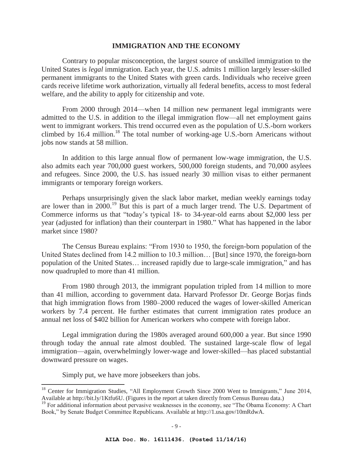## **IMMIGRATION AND THE ECONOMY**

 Contrary to popular misconception, the largest source of unskilled immigration to the United States is *legal* immigration. Each year, the U.S. admits 1 million largely lesser-skilled permanent immigrants to the United States with green cards. Individuals who receive green cards receive lifetime work authorization, virtually all federal benefits, access to most federal welfare, and the ability to apply for citizenship and vote.

 From 2000 through 2014—when 14 million new permanent legal immigrants were admitted to the U.S. in addition to the illegal immigration flow—all net employment gains went to immigrant workers. This trend occurred even as the population of U.S.-born workers climbed by  $16.4$  million.<sup>18</sup> The total number of working-age U.S.-born Americans without jobs now stands at 58 million.

In addition to this large annual flow of permanent low-wage immigration, the U.S. also admits each year 700,000 guest workers, 500,000 foreign students, and 70,000 asylees and refugees. Since 2000, the U.S. has issued nearly 30 million visas to either permanent immigrants or temporary foreign workers.

Perhaps unsurprisingly given the slack labor market, median weekly earnings today are lower than in 2000.19 But this is part of a much larger trend. The U.S. Department of Commerce informs us that "today's typical 18- to 34-year-old earns about \$2,000 less per year (adjusted for inflation) than their counterpart in 1980." What has happened in the labor market since 1980?

The Census Bureau explains: "From 1930 to 1950, the foreign-born population of the United States declined from 14.2 million to 10.3 million… [But] since 1970, the foreign-born population of the United States… increased rapidly due to large-scale immigration," and has now quadrupled to more than 41 million.

From 1980 through 2013, the immigrant population tripled from 14 million to more than 41 million, according to government data. Harvard Professor Dr. George Borjas finds that high immigration flows from 1980–2000 reduced the wages of lower-skilled American workers by 7.4 percent. He further estimates that current immigration rates produce an annual net loss of \$402 billion for American workers who compete with foreign labor.

Legal immigration during the 1980s averaged around 600,000 a year. But since 1990 through today the annual rate almost doubled. The sustained large-scale flow of legal immigration—again, overwhelmingly lower-wage and lower-skilled—has placed substantial downward pressure on wages.

Simply put, we have more jobseekers than jobs.

<sup>&</sup>lt;sup>18</sup> Center for Immigration Studies, "All Employment Growth Since 2000 Went to Immigrants," June 2014, Available at http://bit.ly/1Ktfu6U. (Figures in the report at taken directly from Census Bureau data.)

<sup>&</sup>lt;sup>19</sup> For additional information about pervasive weaknesses in the economy, see "The Obama Economy: A Chart Book," by Senate Budget Committee Republicans. Available at http://1.usa.gov/10mRdwA.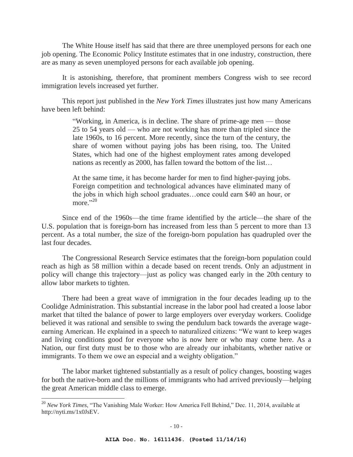The White House itself has said that there are three unemployed persons for each one job opening. The Economic Policy Institute estimates that in one industry, construction, there are as many as seven unemployed persons for each available job opening.

It is astonishing, therefore, that prominent members Congress wish to see record immigration levels increased yet further.

This report just published in the *New York Times* illustrates just how many Americans have been left behind:

> "Working, in America, is in decline. The share of prime-age men — those 25 to 54 years old — who are not working has more than tripled since the late 1960s, to 16 percent. More recently, since the turn of the century, the share of women without paying jobs has been rising, too. The United States, which had one of the highest employment rates among developed nations as recently as 2000, has fallen toward the bottom of the list…

> At the same time, it has become harder for men to find higher-paying jobs. Foreign competition and technological advances have eliminated many of the jobs in which high school graduates…once could earn \$40 an hour, or more." $^{20}$

Since end of the 1960s—the time frame identified by the article—the share of the U.S. population that is foreign-born has increased from less than 5 percent to more than 13 percent. As a total number, the size of the foreign-born population has quadrupled over the last four decades.

The Congressional Research Service estimates that the foreign-born population could reach as high as 58 million within a decade based on recent trends. Only an adjustment in policy will change this trajectory—just as policy was changed early in the 20th century to allow labor markets to tighten.

There had been a great wave of immigration in the four decades leading up to the Coolidge Administration. This substantial increase in the labor pool had created a loose labor market that tilted the balance of power to large employers over everyday workers. Coolidge believed it was rational and sensible to swing the pendulum back towards the average wageearning American. He explained in a speech to naturalized citizens: "We want to keep wages and living conditions good for everyone who is now here or who may come here. As a Nation, our first duty must be to those who are already our inhabitants, whether native or immigrants. To them we owe an especial and a weighty obligation."

The labor market tightened substantially as a result of policy changes, boosting wages for both the native-born and the millions of immigrants who had arrived previously—helping the great American middle class to emerge.

<sup>20</sup> *New York Times*, "The Vanishing Male Worker: How America Fell Behind," Dec. 11, 2014, available at http://nyti.ms/1x0JsEV.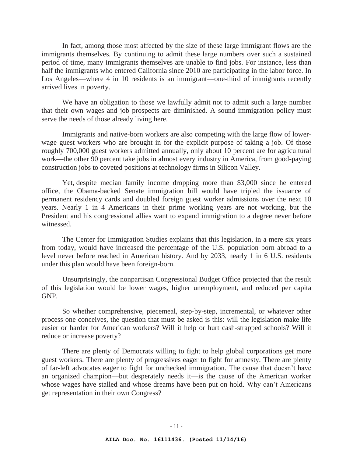In fact, among those most affected by the size of these large immigrant flows are the immigrants themselves. By continuing to admit these large numbers over such a sustained period of time, many immigrants themselves are unable to find jobs. For instance, less than half the immigrants who entered California since 2010 are participating in the labor force. In Los Angeles—where 4 in 10 residents is an immigrant—one-third of immigrants recently arrived lives in poverty.

We have an obligation to those we lawfully admit not to admit such a large number that their own wages and job prospects are diminished. A sound immigration policy must serve the needs of those already living here.

Immigrants and native-born workers are also competing with the large flow of lowerwage guest workers who are brought in for the explicit purpose of taking a job. Of those roughly 700,000 guest workers admitted annually, only about 10 percent are for agricultural work—the other 90 percent take jobs in almost every industry in America, from good-paying construction jobs to coveted positions at technology firms in Silicon Valley.

Yet, despite median family income dropping more than \$3,000 since he entered office, the Obama-backed Senate immigration bill would have tripled the issuance of permanent residency cards and doubled foreign guest worker admissions over the next 10 years. Nearly 1 in 4 Americans in their prime working years are not working, but the President and his congressional allies want to expand immigration to a degree never before witnessed.

The Center for Immigration Studies explains that this legislation, in a mere six years from today, would have increased the percentage of the U.S. population born abroad to a level never before reached in American history. And by 2033, nearly 1 in 6 U.S. residents under this plan would have been foreign-born.

Unsurprisingly, the nonpartisan Congressional Budget Office projected that the result of this legislation would be lower wages, higher unemployment, and reduced per capita GNP.

So whether comprehensive, piecemeal, step-by-step, incremental, or whatever other process one conceives, the question that must be asked is this: will the legislation make life easier or harder for American workers? Will it help or hurt cash-strapped schools? Will it reduce or increase poverty?

There are plenty of Democrats willing to fight to help global corporations get more guest workers. There are plenty of progressives eager to fight for amnesty. There are plenty of far-left advocates eager to fight for unchecked immigration. The cause that doesn't have an organized champion—but desperately needs it—is the cause of the American worker whose wages have stalled and whose dreams have been put on hold. Why can't Americans get representation in their own Congress?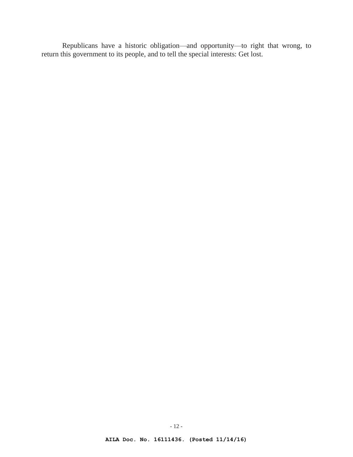Republicans have a historic obligation—and opportunity—to right that wrong, to return this government to its people, and to tell the special interests: Get lost.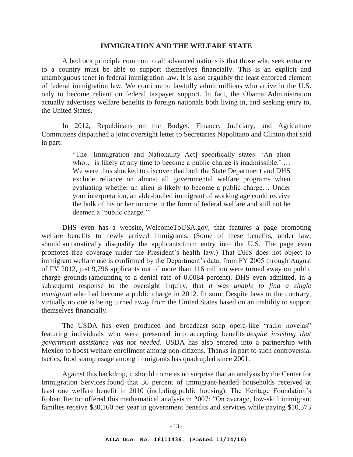### **IMMIGRATION AND THE WELFARE STATE**

A bedrock principle common to all advanced nations is that those who seek entrance to a country must be able to support themselves financially. This is an explicit and unambiguous tenet in federal immigration law. It is also arguably the least enforced element of federal immigration law. We continue to lawfully admit millions who arrive in the U.S. only to become reliant on federal taxpayer support. In fact, the Obama Administration actually advertises welfare benefits to foreign nationals both living in, and seeking entry to, the United States.

In 2012, Republicans on the Budget, Finance, Judiciary, and Agriculture Committees dispatched a joint oversight letter to Secretaries Napolitano and Clinton that said in part:

> "The [Immigration and Nationality Act] specifically states: 'An alien who… is likely at any time to become a public charge is inadmissible.' ... We were thus shocked to discover that both the State Department and DHS exclude reliance on almost all governmental welfare programs when evaluating whether an alien is likely to become a public charge… Under your interpretation, an able-bodied immigrant of working age could receive the bulk of his or her income in the form of federal welfare and still not be deemed a 'public charge.'"

DHS even has a website, WelcomeToUSA.gov, that features a page promoting welfare benefits to newly arrived immigrants. (Some of these benefits, under law, should automatically disqualify the applicants from entry into the U.S. The page even promotes free coverage under the President's health law.) That DHS does not object to immigrant welfare use is confirmed by the Department's data: from FY 2005 through August of FY 2012, just 9,796 applicants out of more than 116 million were turned away on public charge grounds (amounting to a denial rate of 0.0084 percent). DHS even admitted, in a subsequent response to the oversight inquiry, that *it was unable to find a single immigrant* who had become a public charge in 2012. In sum: Despite laws to the contrary, virtually no one is being turned away from the United States based on an inability to support themselves financially.

The USDA has even produced and broadcast soap opera-like "radio novelas" featuring individuals who were pressured into accepting benefits *despite insisting that government assistance was not needed*. USDA has also entered into a partnership with Mexico to boost welfare enrollment among non-citizens. Thanks in part to such controversial tactics, food stamp usage among immigrants has quadrupled since 2001.

Against this backdrop, it should come as no surprise that an analysis by the Center for Immigration Services found that 36 percent of immigrant-headed households received at least one welfare benefit in 2010 (including public housing). The Heritage Foundation's Robert Rector offered this mathematical analysis in 2007: "On average, low-skill immigrant families receive \$30,160 per year in government benefits and services while paying \$10,573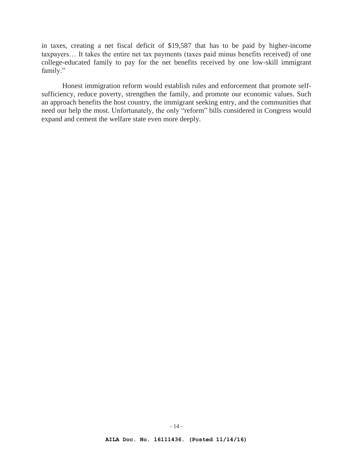in taxes, creating a net fiscal deficit of \$19,587 that has to be paid by higher-income taxpayers… It takes the entire net tax payments (taxes paid minus benefits received) of one college-educated family to pay for the net benefits received by one low-skill immigrant family."

Honest immigration reform would establish rules and enforcement that promote selfsufficiency, reduce poverty, strengthen the family, and promote our economic values. Such an approach benefits the host country, the immigrant seeking entry, and the communities that need our help the most. Unfortunately, the only "reform" bills considered in Congress would expand and cement the welfare state even more deeply.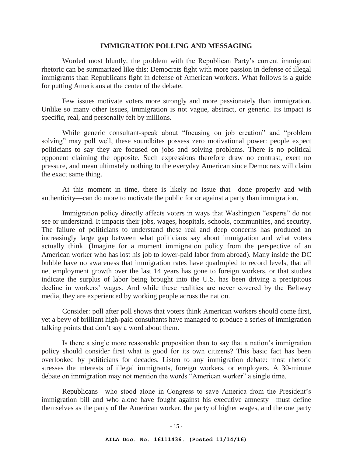### **IMMIGRATION POLLING AND MESSAGING**

Worded most bluntly, the problem with the Republican Party's current immigrant rhetoric can be summarized like this: Democrats fight with more passion in defense of illegal immigrants than Republicans fight in defense of American workers. What follows is a guide for putting Americans at the center of the debate.

Few issues motivate voters more strongly and more passionately than immigration. Unlike so many other issues, immigration is not vague, abstract, or generic. Its impact is specific, real, and personally felt by millions.

While generic consultant-speak about "focusing on job creation" and "problem solving" may poll well, these soundbites possess zero motivational power: people expect politicians to say they are focused on jobs and solving problems. There is no political opponent claiming the opposite. Such expressions therefore draw no contrast, exert no pressure, and mean ultimately nothing to the everyday American since Democrats will claim the exact same thing.

At this moment in time, there is likely no issue that—done properly and with authenticity—can do more to motivate the public for or against a party than immigration.

Immigration policy directly affects voters in ways that Washington "experts" do not see or understand. It impacts their jobs, wages, hospitals, schools, communities, and security. The failure of politicians to understand these real and deep concerns has produced an increasingly large gap between what politicians say about immigration and what voters actually think. (Imagine for a moment immigration policy from the perspective of an American worker who has lost his job to lower-paid labor from abroad). Many inside the DC bubble have no awareness that immigration rates have quadrupled to record levels, that all net employment growth over the last 14 years has gone to foreign workers, or that studies indicate the surplus of labor being brought into the U.S. has been driving a precipitous decline in workers' wages. And while these realities are never covered by the Beltway media, they are experienced by working people across the nation.

Consider: poll after poll shows that voters think American workers should come first, yet a bevy of brilliant high-paid consultants have managed to produce a series of immigration talking points that don't say a word about them.

Is there a single more reasonable proposition than to say that a nation's immigration policy should consider first what is good for its own citizens? This basic fact has been overlooked by politicians for decades. Listen to any immigration debate: most rhetoric stresses the interests of illegal immigrants, foreign workers, or employers. A 30-minute debate on immigration may not mention the words "American worker" a single time.

Republicans—who stood alone in Congress to save America from the President's immigration bill and who alone have fought against his executive amnesty—must define themselves as the party of the American worker, the party of higher wages, and the one party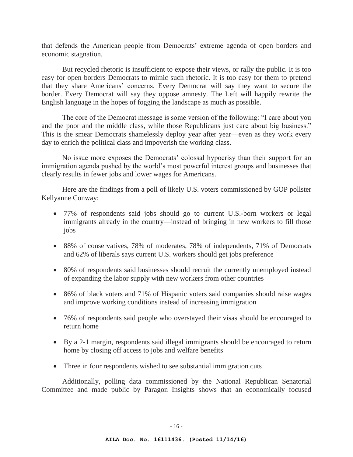that defends the American people from Democrats' extreme agenda of open borders and economic stagnation.

But recycled rhetoric is insufficient to expose their views, or rally the public. It is too easy for open borders Democrats to mimic such rhetoric. It is too easy for them to pretend that they share Americans' concerns. Every Democrat will say they want to secure the border. Every Democrat will say they oppose amnesty. The Left will happily rewrite the English language in the hopes of fogging the landscape as much as possible.

The core of the Democrat message is some version of the following: "I care about you and the poor and the middle class, while those Republicans just care about big business." This is the smear Democrats shamelessly deploy year after year—even as they work every day to enrich the political class and impoverish the working class.

No issue more exposes the Democrats' colossal hypocrisy than their support for an immigration agenda pushed by the world's most powerful interest groups and businesses that clearly results in fewer jobs and lower wages for Americans.

Here are the findings from a poll of likely U.S. voters commissioned by GOP pollster Kellyanne Conway:

- 77% of respondents said jobs should go to current U.S.-born workers or legal immigrants already in the country—instead of bringing in new workers to fill those jobs
- 88% of conservatives, 78% of moderates, 78% of independents, 71% of Democrats and 62% of liberals says current U.S. workers should get jobs preference
- 80% of respondents said businesses should recruit the currently unemployed instead of expanding the labor supply with new workers from other countries
- 86% of black voters and 71% of Hispanic voters said companies should raise wages and improve working conditions instead of increasing immigration
- 76% of respondents said people who overstayed their visas should be encouraged to return home
- By a 2-1 margin, respondents said illegal immigrants should be encouraged to return home by closing off access to jobs and welfare benefits
- Three in four respondents wished to see substantial immigration cuts

Additionally, polling data commissioned by the National Republican Senatorial Committee and made public by Paragon Insights shows that an economically focused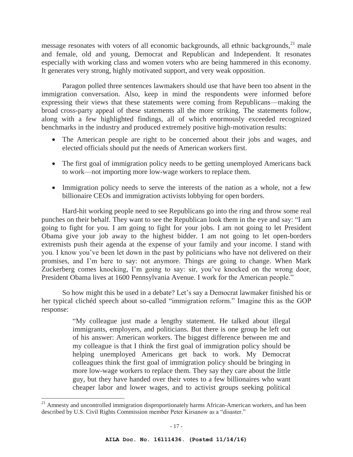message resonates with voters of all economic backgrounds, all ethnic backgrounds, $^{21}$  male and female, old and young, Democrat and Republican and Independent. It resonates especially with working class and women voters who are being hammered in this economy. It generates very strong, highly motivated support, and very weak opposition.

Paragon polled three sentences lawmakers should use that have been too absent in the immigration conversation. Also, keep in mind the respondents were informed before expressing their views that these statements were coming from Republicans—making the broad cross-party appeal of these statements all the more striking. The statements follow, along with a few highlighted findings, all of which enormously exceeded recognized benchmarks in the industry and produced extremely positive high-motivation results:

- The American people are right to be concerned about their jobs and wages, and elected officials should put the needs of American workers first.
- The first goal of immigration policy needs to be getting unemployed Americans back to work—not importing more low-wage workers to replace them.
- Immigration policy needs to serve the interests of the nation as a whole, not a few billionaire CEOs and immigration activists lobbying for open borders.

Hard-hit working people need to see Republicans go into the ring and throw some real punches on their behalf. They want to see the Republican look them in the eye and say: "I am going to fight for you. I am going to fight for your jobs. I am not going to let President Obama give your job away to the highest bidder. I am not going to let open-borders extremists push their agenda at the expense of your family and your income. I stand with you. I know you've been let down in the past by politicians who have not delivered on their promises, and I'm here to say: not anymore. Things are going to change. When Mark Zuckerberg comes knocking, I'm going to say: sir, you've knocked on the wrong door, President Obama lives at 1600 Pennsylvania Avenue. I work for the American people."

So how might this be used in a debate? Let's say a Democrat lawmaker finished his or her typical clichéd speech about so-called "immigration reform." Imagine this as the GOP response:

> "My colleague just made a lengthy statement. He talked about illegal immigrants, employers, and politicians. But there is one group he left out of his answer: American workers. The biggest difference between me and my colleague is that I think the first goal of immigration policy should be helping unemployed Americans get back to work. My Democrat colleagues think the first goal of immigration policy should be bringing in more low-wage workers to replace them. They say they care about the little guy, but they have handed over their votes to a few billionaires who want cheaper labor and lower wages, and to activist groups seeking political

<sup>&</sup>lt;sup>21</sup> Amnesty and uncontrolled immigration disproportionately harms African-American workers, and has been described by U.S. Civil Rights Commission member Peter Kirsanow as a "disaster."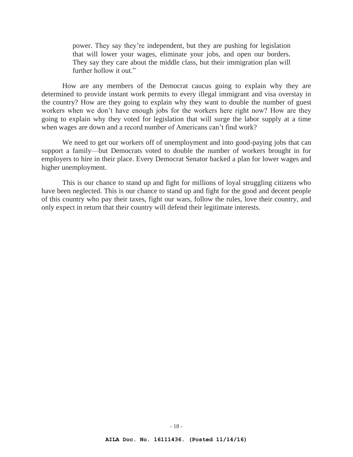power. They say they're independent, but they are pushing for legislation that will lower your wages, eliminate your jobs, and open our borders. They say they care about the middle class, but their immigration plan will further hollow it out."

How are any members of the Democrat caucus going to explain why they are determined to provide instant work permits to every illegal immigrant and visa overstay in the country? How are they going to explain why they want to double the number of guest workers when we don't have enough jobs for the workers here right now? How are they going to explain why they voted for legislation that will surge the labor supply at a time when wages are down and a record number of Americans can't find work?

We need to get our workers off of unemployment and into good-paying jobs that can support a family—but Democrats voted to double the number of workers brought in for employers to hire in their place. Every Democrat Senator backed a plan for lower wages and higher unemployment.

This is our chance to stand up and fight for millions of loyal struggling citizens who have been neglected. This is our chance to stand up and fight for the good and decent people of this country who pay their taxes, fight our wars, follow the rules, love their country, and only expect in return that their country will defend their legitimate interests.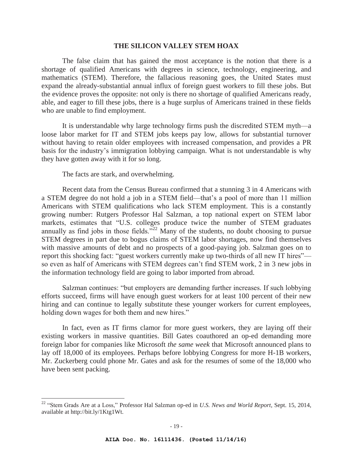## **THE SILICON VALLEY STEM HOAX**

 The false claim that has gained the most acceptance is the notion that there is a shortage of qualified Americans with degrees in science, technology, engineering, and mathematics (STEM). Therefore, the fallacious reasoning goes, the United States must expand the already-substantial annual influx of foreign guest workers to fill these jobs. But the evidence proves the opposite: not only is there no shortage of qualified Americans ready, able, and eager to fill these jobs, there is a huge surplus of Americans trained in these fields who are unable to find employment.

 It is understandable why large technology firms push the discredited STEM myth—a loose labor market for IT and STEM jobs keeps pay low, allows for substantial turnover without having to retain older employees with increased compensation, and provides a PR basis for the industry's immigration lobbying campaign. What is not understandable is why they have gotten away with it for so long.

The facts are stark, and overwhelming.

 $\overline{a}$ 

 Recent data from the Census Bureau confirmed that a stunning 3 in 4 Americans with a STEM degree do not hold a job in a STEM field—that's a pool of more than 11 million Americans with STEM qualifications who lack STEM employment. This is a constantly growing number: Rutgers Professor Hal Salzman, a top national expert on STEM labor markets, estimates that "U.S. colleges produce twice the number of STEM graduates annually as find jobs in those fields.<sup> $522$ </sup> Many of the students, no doubt choosing to pursue STEM degrees in part due to bogus claims of STEM labor shortages, now find themselves with massive amounts of debt and no prospects of a good-paying job. Salzman goes on to report this shocking fact: "guest workers currently make up two-thirds of all new IT hires" so even as half of Americans with STEM degrees can't find STEM work, 2 in 3 new jobs in the information technology field are going to labor imported from abroad.

Salzman continues: "but employers are demanding further increases. If such lobbying efforts succeed, firms will have enough guest workers for at least 100 percent of their new hiring and can continue to legally substitute these younger workers for current employees, holding down wages for both them and new hires."

In fact, even as IT firms clamor for more guest workers, they are laying off their existing workers in massive quantities. Bill Gates coauthored an op-ed demanding more foreign labor for companies like Microsoft *the same week* that Microsoft announced plans to lay off 18,000 of its employees. Perhaps before lobbying Congress for more H-1B workers, Mr. Zuckerberg could phone Mr. Gates and ask for the resumes of some of the 18,000 who have been sent packing.

<sup>22</sup> "Stem Grads Are at a Loss," Professor Hal Salzman op-ed in *U.S. News and World Report*, Sept. 15, 2014, available at http://bit.ly/1Ktg1Wt.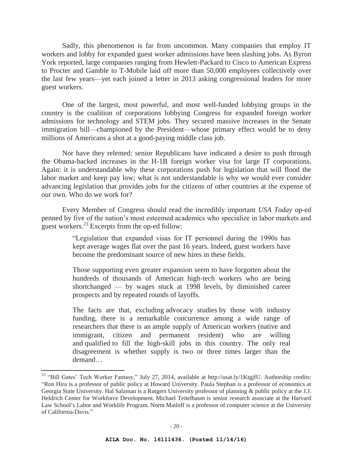Sadly, this phenomenon is far from uncommon. Many companies that employ IT workers and lobby for expanded guest worker admissions have been slashing jobs. As Byron York reported, large companies ranging from Hewlett-Packard to Cisco to American Express to Procter and Gamble to T-Mobile laid off more than 50,000 employees collectively over the last few years—yet each joined a letter in 2013 asking congressional leaders for more guest workers.

 One of the largest, most powerful, and most well-funded lobbying groups in the country is the coalition of corporations lobbying Congress for expanded foreign worker admissions for technology and STEM jobs. They secured massive increases in the Senate immigration bill—championed by the President—whose primary effect would be to deny millions of Americans a shot at a good-paying middle class job.

 Nor have they relented: senior Republicans have indicated a desire to push through the Obama-backed increases in the H-1B foreign worker visa for large IT corporations. Again: it is understandable why these corporations push for legislation that will flood the labor market and keep pay low; what is not understandable is why we would ever consider advancing legislation that provides jobs for the citizens of other countries at the expense of our own. Who do we work for?

 Every Member of Congress should read the incredibly important *USA Today* op-ed penned by five of the nation's most esteemed academics who specialize in labor markets and guest workers.23 Excerpts from the op-ed follow:

> "Legislation that expanded visas for IT personnel during the 1990s has kept average wages flat over the past 16 years. Indeed, guest workers have become the predominant source of new hires in these fields.

> Those supporting even greater expansion seem to have forgotten about the hundreds of thousands of American high-tech workers who are being shortchanged — by wages stuck at 1998 levels, by diminished career prospects and by repeated rounds of layoffs.

> The facts are that, excluding advocacy studies by those with industry funding, there is a remarkable concurrence among a wide range of researchers that there is an ample supply of American workers (native and immigrant, citizen and permanent resident) who are willing and qualified to fill the high-skill jobs in this country. The only real disagreement is whether supply is two or three times larger than the demand…

<sup>&</sup>lt;sup>23</sup> "Bill Gates' Tech Worker Fantasy," July 27, 2014, available at http://usat.ly/1KtgjfU. Authorship credits: "Ron Hira is a professor of public policy at Howard University. Paula Stephan is a professor of economics at Georgia State University. Hal Salzman is a Rutgers University professor of planning & public policy at the J.J. Heldrich Center for Workforce Development. Michael Teitelbaum is senior research associate at the Harvard Law School's Labor and Worklife Program. Norm Matloff is a professor of computer science at the University of California-Davis."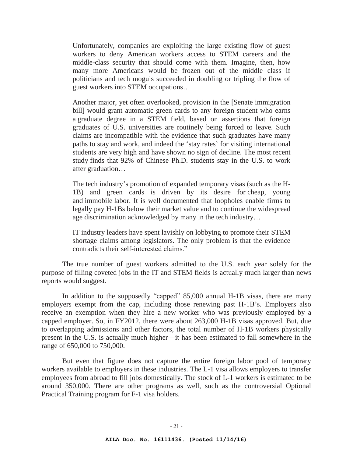Unfortunately, companies are exploiting the large existing flow of guest workers to deny American workers access to STEM careers and the middle-class security that should come with them. Imagine, then, how many more Americans would be frozen out of the middle class if politicians and tech moguls succeeded in doubling or tripling the flow of guest workers into STEM occupations…

Another major, yet often overlooked, provision in the [Senate immigration bill] would grant automatic green cards to any foreign student who earns a graduate degree in a STEM field, based on assertions that foreign graduates of U.S. universities are routinely being forced to leave. Such claims are incompatible with the evidence that such graduates have many paths to stay and work, and indeed the 'stay rates' for visiting international students are very high and have shown no sign of decline. The most recent study finds that 92% of Chinese Ph.D. students stay in the U.S. to work after graduation…

The tech industry's promotion of expanded temporary visas (such as the H-1B) and green cards is driven by its desire for cheap, young and immobile labor. It is well documented that loopholes enable firms to legally pay H-1Bs below their market value and to continue the widespread age discrimination acknowledged by many in the tech industry…

IT industry leaders have spent lavishly on lobbying to promote their STEM shortage claims among legislators. The only problem is that the evidence contradicts their self-interested claims."

 The true number of guest workers admitted to the U.S. each year solely for the purpose of filling coveted jobs in the IT and STEM fields is actually much larger than news reports would suggest.

In addition to the supposedly "capped" 85,000 annual H-1B visas, there are many employers exempt from the cap, including those renewing past H-1B's. Employers also receive an exemption when they hire a new worker who was previously employed by a capped employer. So, in FY2012, there were about 263,000 H-1B visas approved. But, due to overlapping admissions and other factors, the total number of H-1B workers physically present in the U.S. is actually much higher—it has been estimated to fall somewhere in the range of 650,000 to 750,000.

 But even that figure does not capture the entire foreign labor pool of temporary workers available to employers in these industries. The L-1 visa allows employers to transfer employees from abroad to fill jobs domestically. The stock of L-1 workers is estimated to be around 350,000. There are other programs as well, such as the controversial Optional Practical Training program for F-1 visa holders.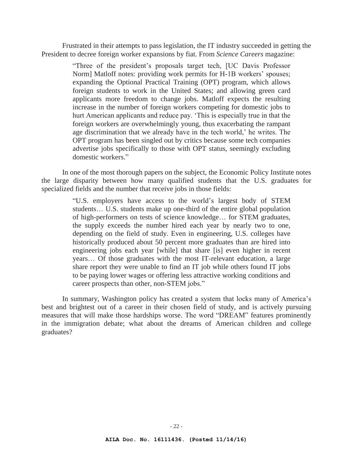Frustrated in their attempts to pass legislation, the IT industry succeeded in getting the President to decree foreign worker expansions by fiat. From *Science Careers* magazine:

> "Three of the president's proposals target tech, [UC Davis Professor Norm] Matloff notes: providing work permits for H-1B workers' spouses; expanding the Optional Practical Training (OPT) program, which allows foreign students to work in the United States; and allowing green card applicants more freedom to change jobs. Matloff expects the resulting increase in the number of foreign workers competing for domestic jobs to hurt American applicants and reduce pay. 'This is especially true in that the foreign workers are overwhelmingly young, thus exacerbating the rampant age discrimination that we already have in the tech world,' he writes. The OPT program has been singled out by critics because some tech companies advertise jobs specifically to those with OPT status, seemingly excluding domestic workers."

 In one of the most thorough papers on the subject, the Economic Policy Institute notes the large disparity between how many qualified students that the U.S. graduates for specialized fields and the number that receive jobs in those fields:

> "U.S. employers have access to the world's largest body of STEM students… U.S. students make up one-third of the entire global population of high-performers on tests of science knowledge… for STEM graduates, the supply exceeds the number hired each year by nearly two to one, depending on the field of study. Even in engineering, U.S. colleges have historically produced about 50 percent more graduates than are hired into engineering jobs each year [while] that share [is] even higher in recent years… Of those graduates with the most IT-relevant education, a large share report they were unable to find an IT job while others found IT jobs to be paying lower wages or offering less attractive working conditions and career prospects than other, non-STEM jobs."

 In summary, Washington policy has created a system that locks many of America's best and brightest out of a career in their chosen field of study, and is actively pursuing measures that will make those hardships worse. The word "DREAM" features prominently in the immigration debate; what about the dreams of American children and college graduates?